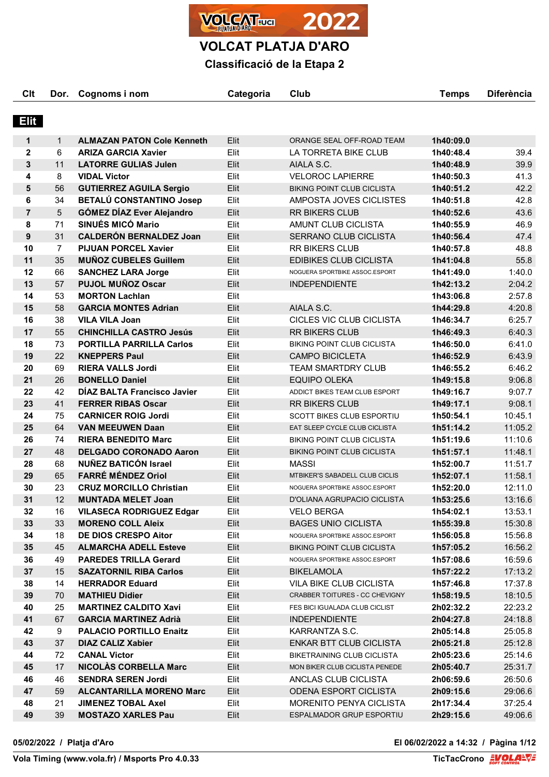

**Classificació de la Etapa 2**

| Clt            | Dor.           | Cognoms i nom                     | Categoria | Club                              | <b>Temps</b> | <b>Diferència</b> |
|----------------|----------------|-----------------------------------|-----------|-----------------------------------|--------------|-------------------|
|                |                |                                   |           |                                   |              |                   |
| <b>Elit</b>    |                |                                   |           |                                   |              |                   |
|                |                |                                   |           |                                   |              |                   |
| 1              | $\mathbf{1}$   | <b>ALMAZAN PATON Cole Kenneth</b> | Elit      | ORANGE SEAL OFF-ROAD TEAM         | 1h40:09.0    |                   |
| $\mathbf 2$    | 6              | <b>ARIZA GARCIA Xavier</b>        | Elit      | LA TORRETA BIKE CLUB              | 1h40:48.4    | 39.4              |
| 3              | 11             | <b>LATORRE GULIAS Julen</b>       | Elit      | AIALA S.C.                        | 1h40:48.9    | 39.9              |
| 4              | 8              | <b>VIDAL Victor</b>               | Elit      | <b>VELOROC LAPIERRE</b>           | 1h40:50.3    | 41.3              |
| 5              | 56             | <b>GUTIERREZ AGUILA Sergio</b>    | Elit      | <b>BIKING POINT CLUB CICLISTA</b> | 1h40:51.2    | 42.2              |
| 6              | 34             | BETALÚ CONSTANTINO Josep          | Elit      | AMPOSTA JOVES CICLISTES           | 1h40:51.8    | 42.8              |
| $\overline{7}$ | 5              | <b>GÓMEZ DÍAZ Ever Alejandro</b>  | Elit      | RR BIKERS CLUB                    | 1h40:52.6    | 43.6              |
| 8              | 71             | <b>SINUÉS MICÓ Mario</b>          | Elit      | AMUNT CLUB CICLISTA               | 1h40:55.9    | 46.9              |
| 9              | 31             | <b>CALDERÓN BERNALDEZ Joan</b>    | Elit      | SERRANO CLUB CICLISTA             | 1h40:56.4    | 47.4              |
| 10             | $\overline{7}$ | <b>PIJUAN PORCEL Xavier</b>       | Elit      | <b>RR BIKERS CLUB</b>             | 1h40:57.8    | 48.8              |
| 11             | 35             | <b>MUÑOZ CUBELES Guillem</b>      | Elit      | <b>EDIBIKES CLUB CICLISTA</b>     | 1h41:04.8    | 55.8              |
| 12             | 66             | <b>SANCHEZ LARA Jorge</b>         | Elit      | NOGUERA SPORTBIKE ASSOC.ESPORT    | 1h41:49.0    | 1:40.0            |
| 13             | 57             | <b>PUJOL MUÑOZ Oscar</b>          | Elit      | <b>INDEPENDIENTE</b>              | 1h42:13.2    | 2:04.2            |
| 14             | 53             | <b>MORTON Lachlan</b>             | Elit      |                                   | 1h43:06.8    | 2:57.8            |
| 15             | 58             | <b>GARCIA MONTES Adrian</b>       | Elit      | AIALA S.C.                        | 1h44:29.8    | 4:20.8            |
| 16             | 38             | <b>VILA VILA Joan</b>             | Elit      | CICLES VIC CLUB CICLISTA          | 1h46:34.7    | 6:25.7            |
| 17             | 55             | <b>CHINCHILLA CASTRO Jesús</b>    | Elit      | <b>RR BIKERS CLUB</b>             | 1h46:49.3    | 6:40.3            |
| 18             | 73             | <b>PORTILLA PARRILLA Carlos</b>   | Elit      | <b>BIKING POINT CLUB CICLISTA</b> | 1h46:50.0    | 6:41.0            |
| 19             | 22             | <b>KNEPPERS Paul</b>              | Elit      | <b>CAMPO BICICLETA</b>            | 1h46:52.9    | 6:43.9            |
| 20             | 69             | <b>RIERA VALLS Jordi</b>          | Elit      | <b>TEAM SMARTDRY CLUB</b>         | 1h46:55.2    | 6:46.2            |
| 21             | 26             | <b>BONELLO Daniel</b>             | Elit      | <b>EQUIPO OLEKA</b>               | 1h49:15.8    | 9:06.8            |
| 22             | 42             | DÍAZ BALTA Francisco Javier       | Elit      | ADDICT BIKES TEAM CLUB ESPORT     | 1h49:16.7    | 9:07.7            |
| 23             | 41             | <b>FERRER RIBAS Oscar</b>         | Elit      | <b>RR BIKERS CLUB</b>             | 1h49:17.1    | 9:08.1            |
| 24             | 75             | <b>CARNICER ROIG Jordi</b>        | Elit      | <b>SCOTT BIKES CLUB ESPORTIU</b>  | 1h50:54.1    | 10:45.1           |
| 25             | 64             | <b>VAN MEEUWEN Daan</b>           | Elit      | EAT SLEEP CYCLE CLUB CICLISTA     | 1h51:14.2    | 11:05.2           |
| 26             | 74             | <b>RIERA BENEDITO Marc</b>        | Elit      | <b>BIKING POINT CLUB CICLISTA</b> | 1h51:19.6    | 11:10.6           |
| 27             | 48             | <b>DELGADO CORONADO Aaron</b>     | Elit      | <b>BIKING POINT CLUB CICLISTA</b> | 1h51:57.1    | 11:48.1           |
| 28             | 68             | <b>NUÑEZ BATICÓN Israel</b>       | Elit      | <b>MASSI</b>                      | 1h52:00.7    | 11:51.7           |
| 29             | 65             | <b>FARRÉ MÉNDEZ Oriol</b>         | Elit      | MTBIKER'S SABADELL CLUB CICLIS    | 1h52:07.1    | 11:58.1           |
| 30             | 23             | <b>CRUZ MORCILLO Christian</b>    | Elit      | NOGUERA SPORTBIKE ASSOC.ESPORT    | 1h52:20.0    | 12:11.0           |
| 31             | 12             | <b>MUNTADA MELET Joan</b>         | Elit      | D'OLIANA AGRUPACIO CICLISTA       | 1h53:25.6    | 13:16.6           |
| 32             | 16             | <b>VILASECA RODRIGUEZ Edgar</b>   | Elit      | <b>VELO BERGA</b>                 | 1h54:02.1    | 13:53.1           |
| 33             | 33             | <b>MORENO COLL Aleix</b>          | Elit      | <b>BAGES UNIO CICLISTA</b>        | 1h55:39.8    | 15:30.8           |
| 34             | 18             | <b>DE DIOS CRESPO Aitor</b>       | Elit      | NOGUERA SPORTBIKE ASSOC.ESPORT    | 1h56:05.8    | 15:56.8           |
| 35             | 45             | <b>ALMARCHA ADELL Esteve</b>      | Elit      | <b>BIKING POINT CLUB CICLISTA</b> | 1h57:05.2    | 16:56.2           |
| 36             | 49             | <b>PAREDES TRILLA Gerard</b>      | Elit      | NOGUERA SPORTBIKE ASSOC.ESPORT    | 1h57:08.6    | 16:59.6           |
| 37             | 15             | <b>SAZATORNIL RIBA Carlos</b>     | Elit      | <b>BIKELAMOLA</b>                 | 1h57:22.2    | 17:13.2           |
| 38             | 14             | <b>HERRADOR Eduard</b>            | Elit      | <b>VILA BIKE CLUB CICLISTA</b>    | 1h57:46.8    | 17:37.8           |
| 39             | 70             | <b>MATHIEU Didier</b>             | Elit      | CRABBER TOITURES - CC CHEVIGNY    | 1h58:19.5    | 18:10.5           |
| 40             | 25             | <b>MARTINEZ CALDITO Xavi</b>      | Elit      | FES BICI IGUALADA CLUB CICLIST    | 2h02:32.2    | 22:23.2           |
| 41             | 67             | <b>GARCIA MARTINEZ Adrià</b>      | Elit      | <b>INDEPENDIENTE</b>              | 2h04:27.8    | 24:18.8           |
| 42             | 9              | <b>PALACIO PORTILLO Enaitz</b>    | Elit      | KARRANTZA S.C.                    | 2h05:14.8    | 25:05.8           |
| 43             | 37             | <b>DIAZ CALIZ Xabier</b>          | Elit      | <b>ENKAR BTT CLUB CICLISTA</b>    | 2h05:21.8    | 25:12.8           |
| 44             | 72             | <b>CANAL Victor</b>               | Elit      | BIKETRAINING CLUB CICLISTA        | 2h05:23.6    | 25:14.6           |
| 45             | 17             | <b>NICOLAS CORBELLA Marc</b>      | Elit      | MON BIKER CLUB CICLISTA PENEDE    | 2h05:40.7    | 25:31.7           |
| 46             | 46             | <b>SENDRA SEREN Jordi</b>         | Elit      | ANCLAS CLUB CICLISTA              | 2h06:59.6    | 26:50.6           |
| 47             | 59             | <b>ALCANTARILLA MORENO Marc</b>   | Elit      | <b>ODENA ESPORT CICLISTA</b>      | 2h09:15.6    | 29:06.6           |
| 48             | 21             | <b>JIMENEZ TOBAL Axel</b>         | Elit      | MORENITO PENYA CICLISTA           | 2h17:34.4    | 37:25.4           |
| 49             | 39             | <b>MOSTAZO XARLES Pau</b>         | Elit      | ESPALMADOR GRUP ESPORTIU          | 2h29:15.6    | 49:06.6           |

**05/02/2022 / Platja d'Aro El 06/02/2022 a 14:32 / Pàgina 1/12**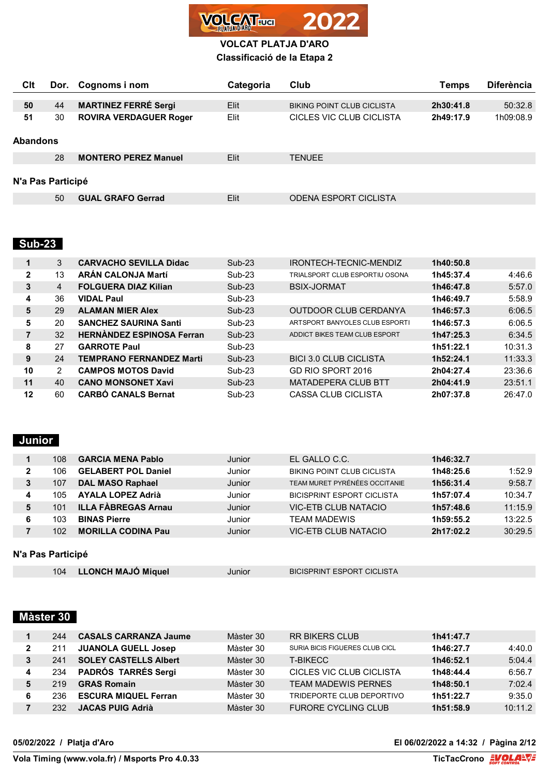

| Clt               | Dor. | Cognoms i nom                 | Categoria | Club                              | Temps     | <b>Diferència</b> |
|-------------------|------|-------------------------------|-----------|-----------------------------------|-----------|-------------------|
|                   |      |                               |           |                                   |           |                   |
| 50                | 44   | <b>MARTINEZ FERRÉ Sergi</b>   | Elit      | <b>BIKING POINT CLUB CICLISTA</b> | 2h30:41.8 | 50:32.8           |
| 51                | 30   | <b>ROVIRA VERDAGUER Roger</b> | Elit      | CICI ES VIC CI UB CICI ISTA       | 2h49:17.9 | 1h09:08.9         |
| <b>Abandons</b>   |      |                               |           |                                   |           |                   |
|                   | 28   | <b>MONTERO PEREZ Manuel</b>   | Elit      | <b>TENUEE</b>                     |           |                   |
| N'a Pas Participé |      |                               |           |                                   |           |                   |
|                   | 50   | <b>GUAL GRAFO Gerrad</b>      | Elit      | <b>ODENA ESPORT CICLISTA</b>      |           |                   |

# **Sub-23**

| 1            | 3  | <b>CARVACHO SEVILLA Didac</b>    | $Sub-23$ | IRONTECH-TECNIC-MENDIZ         | 1h40:50.8 |         |
|--------------|----|----------------------------------|----------|--------------------------------|-----------|---------|
| $\mathbf{2}$ | 13 | <b>ARÁN CALONJA Martí</b>        | $Sub-23$ | TRIALSPORT CLUB ESPORTIU OSONA | 1h45:37.4 | 4:46.6  |
| 3            | 4  | <b>FOLGUERA DIAZ Kilian</b>      | $Sub-23$ | <b>BSIX-JORMAT</b>             | 1h46:47.8 | 5:57.0  |
| 4            | 36 | <b>VIDAL Paul</b>                | $Sub-23$ |                                | 1h46:49.7 | 5:58.9  |
| 5            | 29 | <b>ALAMAN MIER Alex</b>          | $Sub-23$ | OUTDOOR CLUB CERDANYA          | 1h46:57.3 | 6:06.5  |
| 5            | 20 | <b>SANCHEZ SAURINA Santi</b>     | $Sub-23$ | ARTSPORT BANYOLES CLUB ESPORTI | 1h46:57.3 | 6:06.5  |
|              | 32 | <b>HERNANDEZ ESPINOSA Ferran</b> | $Sub-23$ | ADDICT BIKES TEAM CLUB ESPORT  | 1h47:25.3 | 6:34.5  |
| 8            | 27 | <b>GARROTE Paul</b>              | $Sub-23$ |                                | 1h51:22.1 | 10:31.3 |
| 9            | 24 | <b>TEMPRANO FERNANDEZ Marti</b>  | $Sub-23$ | <b>BICI 3.0 CLUB CICLISTA</b>  | 1h52:24.1 | 11:33.3 |
| 10           | 2  | <b>CAMPOS MOTOS David</b>        | $Sub-23$ | GD RIO SPORT 2016              | 2h04:27.4 | 23:36.6 |
| 11           | 40 | <b>CANO MONSONET Xavi</b>        | $Sub-23$ | <b>MATADEPERA CLUB BTT</b>     | 2h04:41.9 | 23:51.1 |
| 12           | 60 | <b>CARBÓ CANALS Bernat</b>       | $Sub-23$ | <b>CASSA CLUB CICLISTA</b>     | 2h07:37.8 | 26:47.0 |

# **Junior**

|   | 108  | <b>GARCIA MENA Pablo</b>   | Junior | EL GALLO C.C.                     | 1h46:32.7 |         |
|---|------|----------------------------|--------|-----------------------------------|-----------|---------|
|   | 106. | <b>GELABERT POL Daniel</b> | Junior | <b>BIKING POINT CLUB CICLISTA</b> | 1h48:25.6 | 1:52.9  |
| 3 | 107  | <b>DAL MASO Raphael</b>    | Junior | TEAM MURET PYRÉNÉES OCCITANIE     | 1h56:31.4 | 9:58.7  |
| 4 | 105  | <b>AYALA LOPEZ Adrià</b>   | Junior | <b>BICISPRINT ESPORT CICLISTA</b> | 1h57:07.4 | 10:34.7 |
| 5 | 101  | <b>ILLA FÀBREGAS Arnau</b> | Junior | <b>VIC-ETB CLUB NATACIO</b>       | 1h57:48.6 | 11:15.9 |
| 6 | 103  | <b>BINAS Pierre</b>        | Junior | <b>TFAM MADEWIS</b>               | 1h59:55.2 | 13:22.5 |
|   | 102  | <b>MORILLA CODINA Pau</b>  | Junior | <b>VIC-ETB CLUB NATACIO</b>       | 2h17:02.2 | 30:29.5 |
|   |      |                            |        |                                   |           |         |

## **N'a Pas Participé**

| <b>LLONCH MAJO Miquel</b><br>104 | Junior | <b>BICISPRINT ESPORT CICLISTA</b> |  |
|----------------------------------|--------|-----------------------------------|--|
|----------------------------------|--------|-----------------------------------|--|

# **Màster 30**

|   | 244  | <b>CASALS CARRANZA Jaume</b> | Màster 30 | <b>RR BIKERS CLUB</b>          | 1h41:47.7 |         |
|---|------|------------------------------|-----------|--------------------------------|-----------|---------|
| າ | 211  | <b>JUANOLA GUELL Josep</b>   | Màster 30 | SURIA BICIS FIGUERES CLUB CICL | 1h46:27.7 | 4:40.0  |
|   | 241  | <b>SOLEY CASTELLS Albert</b> | Màster 30 | <b>T-BIKFCC</b>                | 1h46:52.1 | 5:04.4  |
|   | 234  | <b>PADRÓS TARRÉS Sergi</b>   | Màster 30 | CICLES VIC CLUB CICLISTA       | 1h48:44.4 | 6:56.7  |
|   | 219. | <b>GRAS Romain</b>           | Màster 30 | <b>TFAM MADEWIS PERNES</b>     | 1h48:50.1 | 7:02.4  |
|   | 236  | <b>ESCURA MIQUEL Ferran</b>  | Màster 30 | TRIDEPORTE CLUB DEPORTIVO      | 1h51:22.7 | 9:35.0  |
|   | 232. | <b>JACAS PUIG Adrià</b>      | Màster 30 | <b>FURORE CYCLING CLUB</b>     | 1h51:58.9 | 10:11.2 |

## **05/02/2022 / Platja d'Aro El 06/02/2022 a 14:32 / Pàgina 2/12**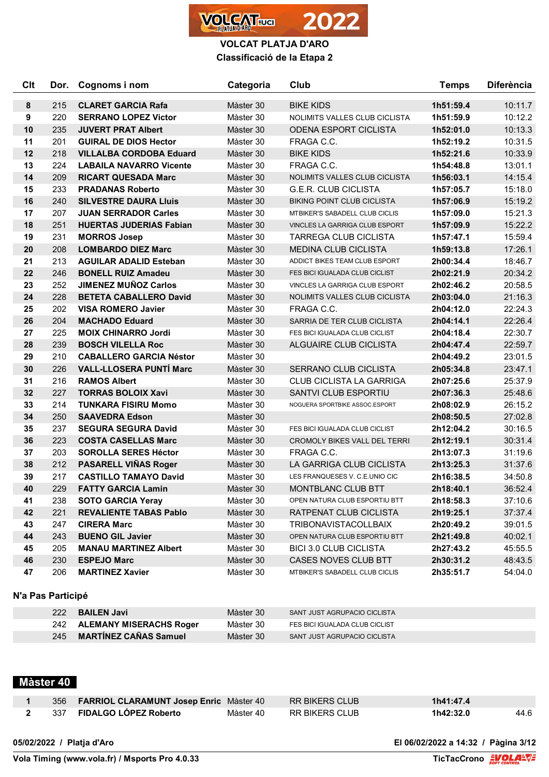

| Clt | Dor. | Cognoms i nom                  | Categoria | Club                                | <b>Temps</b> | <b>Diferència</b> |
|-----|------|--------------------------------|-----------|-------------------------------------|--------------|-------------------|
| 8   | 215  | <b>CLARET GARCIA Rafa</b>      | Màster 30 | <b>BIKE KIDS</b>                    | 1h51:59.4    | 10:11.7           |
| 9   | 220  | <b>SERRANO LOPEZ Victor</b>    | Màster 30 | NOLIMITS VALLES CLUB CICLISTA       | 1h51:59.9    | 10:12.2           |
| 10  | 235  | <b>JUVERT PRAT Albert</b>      | Màster 30 | <b>ODENA ESPORT CICLISTA</b>        | 1h52:01.0    | 10:13.3           |
| 11  | 201  | <b>GUIRAL DE DIOS Hector</b>   | Màster 30 | FRAGA C.C.                          | 1h52:19.2    | 10:31.5           |
| 12  | 218  | <b>VILLALBA CORDOBA Eduard</b> | Màster 30 | <b>BIKE KIDS</b>                    | 1h52:21.6    | 10:33.9           |
| 13  | 224  | <b>LABAILA NAVARRO Vicente</b> | Màster 30 | FRAGA C.C.                          | 1h54:48.8    | 13:01.1           |
| 14  | 209  | <b>RICART QUESADA Marc</b>     | Màster 30 | NOLIMITS VALLES CLUB CICLISTA       | 1h56:03.1    | 14:15.4           |
| 15  | 233  | <b>PRADANAS Roberto</b>        | Màster 30 | <b>G.E.R. CLUB CICLISTA</b>         | 1h57:05.7    | 15:18.0           |
| 16  | 240  | <b>SILVESTRE DAURA Lluis</b>   | Màster 30 | <b>BIKING POINT CLUB CICLISTA</b>   | 1h57:06.9    | 15:19.2           |
| 17  | 207  | <b>JUAN SERRADOR Carles</b>    | Màster 30 | MTBIKER'S SABADELL CLUB CICLIS      | 1h57:09.0    | 15:21.3           |
| 18  | 251  | <b>HUERTAS JUDERIAS Fabian</b> | Màster 30 | VINCLES LA GARRIGA CLUB ESPORT      | 1h57:09.9    | 15:22.2           |
| 19  | 231  | <b>MORROS Josep</b>            | Màster 30 | <b>TARREGA CLUB CICLISTA</b>        | 1h57:47.1    | 15:59.4           |
| 20  | 208  | <b>LOMBARDO DIEZ Marc</b>      | Màster 30 | <b>MEDINA CLUB CICLISTA</b>         | 1h59:13.8    | 17:26.1           |
| 21  | 213  | <b>AGUILAR ADALID Esteban</b>  | Màster 30 | ADDICT BIKES TEAM CLUB ESPORT       | 2h00:34.4    | 18:46.7           |
| 22  | 246  | <b>BONELL RUIZ Amadeu</b>      | Màster 30 | FES BICI IGUALADA CLUB CICLIST      | 2h02:21.9    | 20:34.2           |
| 23  | 252  | <b>JIMENEZ MUÑOZ Carlos</b>    | Màster 30 | VINCLES LA GARRIGA CLUB ESPORT      | 2h02:46.2    | 20:58.5           |
| 24  | 228  | <b>BETETA CABALLERO David</b>  | Màster 30 | NOLIMITS VALLES CLUB CICLISTA       | 2h03:04.0    | 21:16.3           |
| 25  | 202  | <b>VISA ROMERO Javier</b>      | Màster 30 | FRAGA C.C.                          | 2h04:12.0    | 22:24.3           |
| 26  | 204  | <b>MACHADO Eduard</b>          | Màster 30 | SARRIA DE TER CLUB CICLISTA         | 2h04:14.1    | 22:26.4           |
| 27  | 225  | <b>MOIX CHINARRO Jordi</b>     | Màster 30 | FES BICI IGUALADA CLUB CICLIST      | 2h04:18.4    | 22:30.7           |
| 28  | 239  | <b>BOSCH VILELLA Roc</b>       | Màster 30 | ALGUAIRE CLUB CICLISTA              | 2h04:47.4    | 22:59.7           |
| 29  | 210  | <b>CABALLERO GARCIA Néstor</b> | Màster 30 |                                     | 2h04:49.2    | 23:01.5           |
| 30  | 226  | <b>VALL-LLOSERA PUNTI Marc</b> | Màster 30 | SERRANO CLUB CICLISTA               | 2h05:34.8    | 23:47.1           |
| 31  | 216  | <b>RAMOS Albert</b>            | Màster 30 | CLUB CICLISTA LA GARRIGA            | 2h07:25.6    | 25:37.9           |
| 32  | 227  | <b>TORRAS BOLOIX Xavi</b>      | Màster 30 | SANTVI CLUB ESPORTIU                | 2h07:36.3    | 25:48.6           |
| 33  | 214  | <b>TUNKARA FISIRU Momo</b>     | Màster 30 | NOGUERA SPORTBIKE ASSOC.ESPORT      | 2h08:02.9    | 26:15.2           |
| 34  | 250  | <b>SAAVEDRA Edson</b>          | Màster 30 |                                     | 2h08:50.5    | 27:02.8           |
| 35  | 237  | <b>SEGURA SEGURA David</b>     | Màster 30 | FES BICI IGUALADA CLUB CICLIST      | 2h12:04.2    | 30:16.5           |
| 36  | 223  | <b>COSTA CASELLAS Marc</b>     | Màster 30 | <b>CROMOLY BIKES VALL DEL TERRI</b> | 2h12:19.1    | 30:31.4           |
| 37  | 203  | <b>SOROLLA SERES Héctor</b>    | Màster 30 | FRAGA C.C.                          | 2h13:07.3    | 31:19.6           |
| 38  | 212  | <b>PASARELL VIÑAS Roger</b>    | Màster 30 | LA GARRIGA CLUB CICLISTA            | 2h13:25.3    | 31:37.6           |
| 39  | 217  | <b>CASTILLO TAMAYO David</b>   | Màster 30 | LES FRANQUESES V. C.E.UNIO CIC      | 2h16:38.5    | 34:50.8           |
| 40  | 229  | <b>FATTY GARCIA Lamin</b>      | Màster 30 | MONTBLANC CLUB BTT                  | 2h18:40.1    | 36:52.4           |
| 41  | 238  | <b>SOTO GARCIA Yeray</b>       | Màster 30 | OPEN NATURA CLUB ESPORTIU BTT       | 2h18:58.3    | 37:10.6           |
| 42  | 221  | <b>REVALIENTE TABAS Pablo</b>  | Màster 30 | RATPENAT CLUB CICLISTA              | 2h19:25.1    | 37:37.4           |
| 43  | 247  | <b>CIRERA Marc</b>             | Màster 30 | <b>TRIBONAVISTACOLLBAIX</b>         | 2h20:49.2    | 39:01.5           |
| 44  | 243  | <b>BUENO GIL Javier</b>        | Màster 30 | OPEN NATURA CLUB ESPORTIU BTT       | 2h21:49.8    | 40:02.1           |
| 45  | 205  | <b>MANAU MARTINEZ Albert</b>   | Màster 30 | <b>BICI 3.0 CLUB CICLISTA</b>       | 2h27:43.2    | 45:55.5           |
| 46  | 230  | <b>ESPEJO Marc</b>             | Màster 30 | CASES NOVES CLUB BTT                | 2h30:31.2    | 48:43.5           |
| 47  | 206  | <b>MARTINEZ Xavier</b>         | Màster 30 | MTBIKER'S SABADELL CLUB CICLIS      | 2h35:51.7    | 54:04.0           |

## **N'a Pas Participé**

| 222 | <b>BAILEN Javi</b>          | Màster 30 | SANT JUST AGRUPACIO CICLISTA   |
|-----|-----------------------------|-----------|--------------------------------|
|     | 242 ALEMANY MISERACHS Roger | Màster 30 | FES BICI IGUALADA CLUB CICLIST |
|     | 245 MARTÍNEZ CAÑAS Samuel   | Màster 30 | SANT JUST AGRUPACIO CICLISTA   |

# **Màster 40**

|      | 356 FARRIOL CLARAMUNT Josep Enric Màster 40 |           | RR BIKERS CLUB | 1h41:47.4 |      |
|------|---------------------------------------------|-----------|----------------|-----------|------|
| -337 | <b>FIDALGO LOPEZ Roberto</b>                | Màster 40 | RR BIKERS CLUB | 1h42:32.0 | 44.6 |

**05/02/2022 / Platja d'Aro El 06/02/2022 a 14:32 / Pàgina 3/12**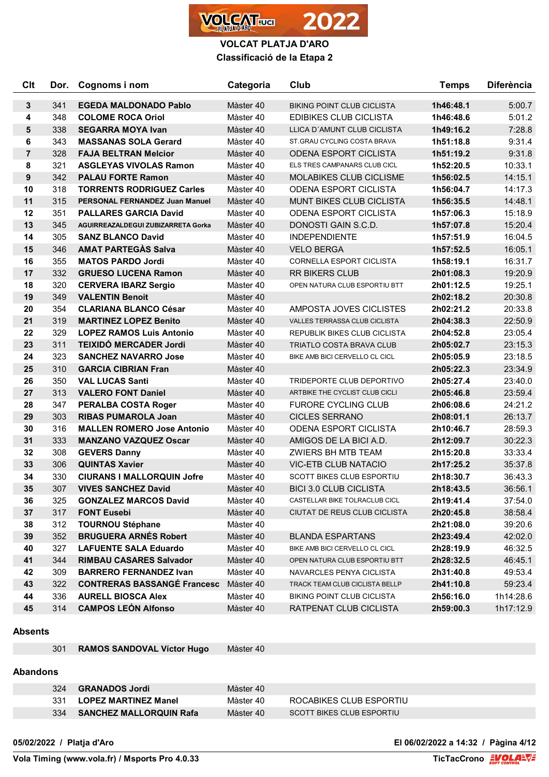

| <b>Clt</b>     | Dor. | Cognoms i nom                         | Categoria | Club                              | <b>Temps</b> | <b>Diferència</b> |
|----------------|------|---------------------------------------|-----------|-----------------------------------|--------------|-------------------|
| 3              | 341  | <b>EGEDA MALDONADO Pablo</b>          | Màster 40 | <b>BIKING POINT CLUB CICLISTA</b> | 1h46:48.1    | 5:00.7            |
| 4              | 348  | <b>COLOME ROCA Oriol</b>              | Màster 40 | <b>EDIBIKES CLUB CICLISTA</b>     | 1h46:48.6    | 5:01.2            |
| 5              | 338  | <b>SEGARRA MOYA Ivan</b>              | Màster 40 | LLICA D'AMUNT CLUB CICLISTA       | 1h49:16.2    | 7:28.8            |
| 6              | 343  | <b>MASSANAS SOLA Gerard</b>           | Màster 40 | ST. GRAU CYCLING COSTA BRAVA      | 1h51:18.8    | 9:31.4            |
| $\overline{7}$ | 328  | <b>FAJA BELTRAN Melcior</b>           | Màster 40 | <b>ODENA ESPORT CICLISTA</b>      | 1h51:19.2    | 9:31.8            |
| 8              | 321  | <b>ASGLEYAS VIVOLAS Ramon</b>         | Màster 40 | ELS TRES CAMPANARS CLUB CICL      | 1h52:20.5    | 10:33.1           |
| $\pmb{9}$      | 342  | <b>PALAU FORTE Ramon</b>              | Màster 40 | MOLABIKES CLUB CICLISME           | 1h56:02.5    | 14:15.1           |
| 10             | 318  | <b>TORRENTS RODRIGUEZ Carles</b>      | Màster 40 | <b>ODENA ESPORT CICLISTA</b>      | 1h56:04.7    | 14:17.3           |
| 11             | 315  | <b>PERSONAL FERNANDEZ Juan Manuel</b> | Màster 40 | <b>MUNT BIKES CLUB CICLISTA</b>   | 1h56:35.5    | 14:48.1           |
| 12             | 351  | <b>PALLARES GARCIA David</b>          | Màster 40 | <b>ODENA ESPORT CICLISTA</b>      | 1h57:06.3    | 15:18.9           |
| 13             | 345  | AGUIRREAZALDEGUI ZUBIZARRETA Gorka    | Màster 40 | DONOSTI GAIN S.C.D.               | 1h57:07.8    | 15:20.4           |
| 14             | 305  | <b>SANZ BLANCO David</b>              | Màster 40 | <b>INDEPENDIENTE</b>              | 1h57:51.9    | 16:04.5           |
| 15             | 346  | <b>AMAT PARTEGAS Salva</b>            | Màster 40 | <b>VELO BERGA</b>                 | 1h57:52.5    | 16:05.1           |
| 16             | 355  | <b>MATOS PARDO Jordi</b>              | Màster 40 | <b>CORNELLA ESPORT CICLISTA</b>   | 1h58:19.1    | 16:31.7           |
| 17             | 332  | <b>GRUESO LUCENA Ramon</b>            | Màster 40 | <b>RR BIKERS CLUB</b>             | 2h01:08.3    | 19:20.9           |
| 18             | 320  | <b>CERVERA IBARZ Sergio</b>           | Màster 40 | OPEN NATURA CLUB ESPORTIU BTT     | 2h01:12.5    | 19:25.1           |
| 19             | 349  | <b>VALENTIN Benoit</b>                | Màster 40 |                                   | 2h02:18.2    | 20:30.8           |
| 20             | 354  | <b>CLARIANA BLANCO César</b>          | Màster 40 | AMPOSTA JOVES CICLISTES           | 2h02:21.2    | 20:33.8           |
| 21             | 319  | <b>MARTINEZ LOPEZ Benito</b>          | Màster 40 | VALLES TERRASSA CLUB CICLISTA     | 2h04:38.3    | 22:50.9           |
| 22             | 329  | <b>LOPEZ RAMOS Luis Antonio</b>       | Màster 40 | REPUBLIK BIKES CLUB CICLISTA      | 2h04:52.8    | 23:05.4           |
| 23             | 311  | <b>TEIXIDÓ MERCADER Jordi</b>         | Màster 40 | <b>TRIATLO COSTA BRAVA CLUB</b>   | 2h05:02.7    | 23:15.3           |
| 24             | 323  | <b>SANCHEZ NAVARRO Jose</b>           | Màster 40 | BIKE AMB BICI CERVELLO CL CICL    | 2h05:05.9    | 23:18.5           |
| 25             | 310  | <b>GARCIA CIBRIAN Fran</b>            | Màster 40 |                                   | 2h05:22.3    | 23:34.9           |
| 26             | 350  | <b>VAL LUCAS Santi</b>                | Màster 40 | TRIDEPORTE CLUB DEPORTIVO         | 2h05:27.4    | 23:40.0           |
| 27             | 313  | <b>VALERO FONT Daniel</b>             | Màster 40 | ARTBIKE THE CYCLIST CLUB CICLI    | 2h05:46.8    | 23:59.4           |
| 28             | 347  | <b>PERALBA COSTA Roger</b>            | Màster 40 | <b>FURORE CYCLING CLUB</b>        | 2h06:08.6    | 24:21.2           |
| 29             | 303  | <b>RIBAS PUMAROLA Joan</b>            | Màster 40 | <b>CICLES SERRANO</b>             | 2h08:01.1    | 26:13.7           |
| 30             | 316  | <b>MALLEN ROMERO Jose Antonio</b>     | Màster 40 | <b>ODENA ESPORT CICLISTA</b>      | 2h10:46.7    | 28:59.3           |
| 31             | 333  | <b>MANZANO VAZQUEZ Oscar</b>          | Màster 40 | AMIGOS DE LA BICI A.D.            | 2h12:09.7    | 30:22.3           |
| 32             | 308  | <b>GEVERS Danny</b>                   | Màster 40 | <b>ZWIERS BH MTB TEAM</b>         | 2h15:20.8    | 33:33.4           |
| 33             | 306  | <b>QUINTAS Xavier</b>                 | Màster 40 | <b>VIC-ETB CLUB NATACIO</b>       | 2h17:25.2    | 35:37.8           |
| 34             | 330  | <b>CIURANS I MALLORQUIN Jofre</b>     | Màster 40 | <b>SCOTT BIKES CLUB ESPORTIU</b>  | 2h18:30.7    | 36:43.3           |
| 35             | 307  | <b>VIVES SANCHEZ David</b>            | Màster 40 | <b>BICI 3.0 CLUB CICLISTA</b>     | 2h18:43.5    | 36:56.1           |
| 36             | 325  | <b>GONZALEZ MARCOS David</b>          | Màster 40 | CASTELLAR BIKE TOLRACLUB CICL     | 2h19:41.4    | 37:54.0           |
| 37             | 317  | <b>FONT Eusebi</b>                    | Màster 40 | CIUTAT DE REUS CLUB CICLISTA      | 2h20:45.8    | 38:58.4           |
| 38             | 312  | <b>TOURNOU Stéphane</b>               | Màster 40 |                                   | 2h21:08.0    | 39:20.6           |
| 39             | 352  | <b>BRUGUERA ARNES Robert</b>          | Màster 40 | <b>BLANDA ESPARTANS</b>           | 2h23:49.4    | 42:02.0           |
| 40             | 327  | <b>LAFUENTE SALA Eduardo</b>          | Màster 40 | BIKE AMB BICI CERVELLO CL CICL    | 2h28:19.9    | 46:32.5           |
| 41             | 344  | <b>RIMBAU CASARES Salvador</b>        | Màster 40 | OPEN NATURA CLUB ESPORTIU BTT     | 2h28:32.5    | 46:45.1           |
| 42             | 309  | <b>BARRERO FERNANDEZ Ivan</b>         | Màster 40 | NAVARCLES PENYA CICLISTA          | 2h31:40.8    | 49:53.4           |
| 43             | 322  | <b>CONTRERAS BASSANGE Francesc</b>    | Màster 40 | TRACK TEAM CLUB CICLISTA BELLP    | 2h41:10.8    | 59:23.4           |
| 44             | 336  | <b>AURELL BIOSCA Alex</b>             | Màster 40 | BIKING POINT CLUB CICLISTA        | 2h56:16.0    | 1h14:28.6         |
| 45             | 314  | <b>CAMPOS LEÓN Alfonso</b>            | Màster 40 | RATPENAT CLUB CICLISTA            | 2h59:00.3    | 1h17:12.9         |

#### **Absents**

**RAMOS SANDOVAL Víctor Hugo** Màster 40

# **Abandons**

| 324 | <b>GRANADOS Jordi</b>          | Màster 40 |                                  |
|-----|--------------------------------|-----------|----------------------------------|
|     | <b>LOPEZ MARTINEZ Manel</b>    | Màster 40 | ROCABIKES CLUB ESPORTIU          |
| 334 | <b>SANCHEZ MALLORQUIN Rafa</b> | Màster 40 | <b>SCOTT BIKES CLUB ESPORTIU</b> |

**05/02/2022 / Platja d'Aro El 06/02/2022 a 14:32 / Pàgina 4/12**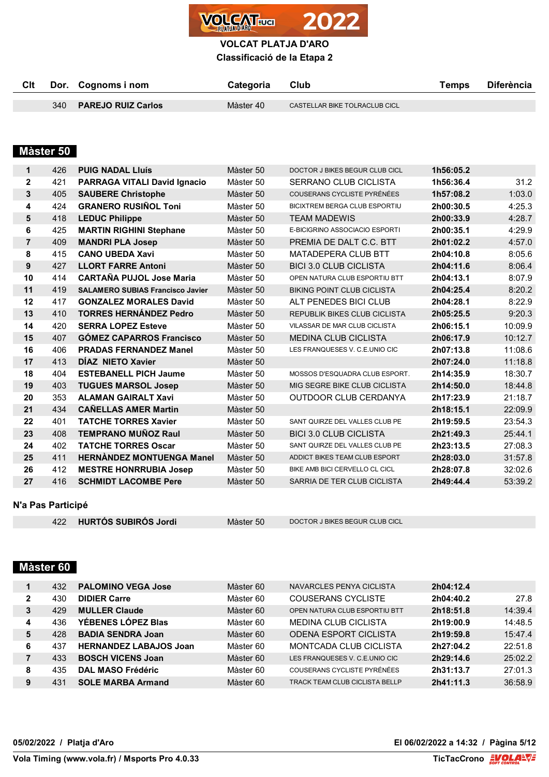

**Classificació de la Etapa 2**

| Clt |     | Dor. Cognoms i nom        | Categoria | Club                          | Temps | <b>Diferència</b> |
|-----|-----|---------------------------|-----------|-------------------------------|-------|-------------------|
|     |     |                           |           |                               |       |                   |
|     | 340 | <b>PAREJO RUIZ Carlos</b> | Màster 40 | CASTELLAR BIKE TOLRACLUB CICL |       |                   |

# **Màster 50**

| 1              | 426 | <b>PUIG NADAL LIUÍS</b>                 | Màster 50 | DOCTOR J BIKES BEGUR CLUB CICL    | 1h56:05.2 |         |
|----------------|-----|-----------------------------------------|-----------|-----------------------------------|-----------|---------|
| $\mathbf 2$    | 421 | <b>PARRAGA VITALI David Ignacio</b>     | Màster 50 | <b>SERRANO CLUB CICLISTA</b>      | 1h56:36.4 | 31.2    |
| 3              | 405 | <b>SAUBERE Christophe</b>               | Màster 50 | COUSERANS CYCLISTE PYRÉNÉES       | 1h57:08.2 | 1:03.0  |
| 4              | 424 | <b>GRANERO RUSIÑOL Toni</b>             | Màster 50 | BICIXTREM BERGA CLUB ESPORTIU     | 2h00:30.5 | 4:25.3  |
| 5              | 418 | <b>LEDUC Philippe</b>                   | Màster 50 | <b>TEAM MADEWIS</b>               | 2h00:33.9 | 4:28.7  |
| 6              | 425 | <b>MARTIN RIGHINI Stephane</b>          | Màster 50 | E-BICIGRINO ASSOCIACIO ESPORTI    | 2h00:35.1 | 4:29.9  |
| $\overline{7}$ | 409 | <b>MANDRI PLA Josep</b>                 | Màster 50 | PREMIA DE DALT C.C. BTT           | 2h01:02.2 | 4:57.0  |
| 8              | 415 | <b>CANO UBEDA Xavi</b>                  | Màster 50 | <b>MATADEPERA CLUB BTT</b>        | 2h04:10.8 | 8:05.6  |
| 9              | 427 | <b>LLORT FARRE Antoni</b>               | Màster 50 | <b>BICI 3.0 CLUB CICLISTA</b>     | 2h04:11.6 | 8:06.4  |
| 10             | 414 | <b>CARTAÑA PUJOL Jose Maria</b>         | Màster 50 | OPEN NATURA CLUB ESPORTIU BTT     | 2h04:13.1 | 8:07.9  |
| 11             | 419 | <b>SALAMERO SUBIAS Francisco Javier</b> | Màster 50 | <b>BIKING POINT CLUB CICLISTA</b> | 2h04:25.4 | 8:20.2  |
| 12             | 417 | <b>GONZALEZ MORALES David</b>           | Màster 50 | ALT PENEDES BICI CLUB             | 2h04:28.1 | 8:22.9  |
| 13             | 410 | <b>TORRES HERNÁNDEZ Pedro</b>           | Màster 50 | REPUBLIK BIKES CLUB CICLISTA      | 2h05:25.5 | 9:20.3  |
| 14             | 420 | <b>SERRA LOPEZ Esteve</b>               | Màster 50 | VILASSAR DE MAR CLUB CICLISTA     | 2h06:15.1 | 10:09.9 |
| 15             | 407 | <b>GOMEZ CAPARROS Francisco</b>         | Màster 50 | <b>MEDINA CLUB CICLISTA</b>       | 2h06:17.9 | 10:12.7 |
| 16             | 406 | <b>PRADAS FERNANDEZ Manel</b>           | Màster 50 | LES FRANQUESES V. C.E.UNIO CIC    | 2h07:13.8 | 11:08.6 |
| 17             | 413 | DÍAZ NIETO Xavier                       | Màster 50 |                                   | 2h07:24.0 | 11:18.8 |
| 18             | 404 | <b>ESTEBANELL PICH Jaume</b>            | Màster 50 | MOSSOS D'ESQUADRA CLUB ESPORT.    | 2h14:35.9 | 18:30.7 |
| 19             | 403 | <b>TUGUES MARSOL Josep</b>              | Màster 50 | MIG SEGRE BIKE CLUB CICLISTA      | 2h14:50.0 | 18:44.8 |
| 20             | 353 | <b>ALAMAN GAIRALT Xavi</b>              | Màster 50 | OUTDOOR CLUB CERDANYA             | 2h17:23.9 | 21:18.7 |
| 21             | 434 | <b>CAÑELLAS AMER Martin</b>             | Màster 50 |                                   | 2h18:15.1 | 22:09.9 |
| 22             | 401 | <b>TATCHE TORRES Xavier</b>             | Màster 50 | SANT QUIRZE DEL VALLES CLUB PE    | 2h19:59.5 | 23:54.3 |
| 23             | 408 | <b>TEMPRANO MUÑOZ Raul</b>              | Màster 50 | <b>BICI 3.0 CLUB CICLISTA</b>     | 2h21:49.3 | 25:44.1 |
| 24             | 402 | <b>TATCHE TORRES Oscar</b>              | Màster 50 | SANT QUIRZE DEL VALLES CLUB PE    | 2h23:13.5 | 27:08.3 |
| 25             | 411 | <b>HERNANDEZ MONTUENGA Manel</b>        | Màster 50 | ADDICT BIKES TEAM CLUB ESPORT     | 2h28:03.0 | 31:57.8 |
| 26             | 412 | <b>MESTRE HONRRUBIA Josep</b>           | Màster 50 | BIKE AMB BICI CERVELLO CL CICL    | 2h28:07.8 | 32:02.6 |
| 27             | 416 | <b>SCHMIDT LACOMBE Pere</b>             | Màster 50 | SARRIA DE TER CLUB CICLISTA       | 2h49:44.4 | 53:39.2 |

## **N'a Pas Participé**

|  | 422 HURTÓS SUBIRÓS Jordi |
|--|--------------------------|
|--|--------------------------|

Màster 50 DOCTOR J BIKES BEGUR CLUB CICL

# **Màster 60**

|   | 432 | <b>PALOMINO VEGA Jose</b>     | Màster 60 | NAVARCLES PENYA CICLISTA       | 2h04:12.4 |         |
|---|-----|-------------------------------|-----------|--------------------------------|-----------|---------|
| 2 | 430 | <b>DIDIER Carre</b>           | Màster 60 | COUSERANS CYCLISTE             | 2h04:40.2 | 27.8    |
| 3 | 429 | <b>MULLER Claude</b>          | Màster 60 | OPEN NATURA CLUB ESPORTIU BTT  | 2h18:51.8 | 14:39.4 |
| 4 | 436 | YÉBENES LÓPEZ Blas            | Màster 60 | <b>MEDINA CLUB CICLISTA</b>    | 2h19:00.9 | 14:48.5 |
| 5 | 428 | <b>BADIA SENDRA Joan</b>      | Màster 60 | <b>ODENA ESPORT CICLISTA</b>   | 2h19:59.8 | 15:47.4 |
| 6 | 437 | <b>HERNANDEZ LABAJOS Joan</b> | Màster 60 | MONTCADA CLUB CICLISTA         | 2h27:04.2 | 22:51.8 |
|   | 433 | <b>BOSCH VICENS Joan</b>      | Màster 60 | LES FRANQUESES V. C.E.UNIO CIC | 2h29:14.6 | 25:02.2 |
| 8 | 435 | DAL MASO Frédéric             | Màster 60 | COUSERANS CYCLISTE PYRÉNÉES    | 2h31:13.7 | 27:01.3 |
| 9 | 431 | <b>SOLE MARBA Armand</b>      | Màster 60 | TRACK TEAM CLUB CICLISTA BELLP | 2h41:11.3 | 36:58.9 |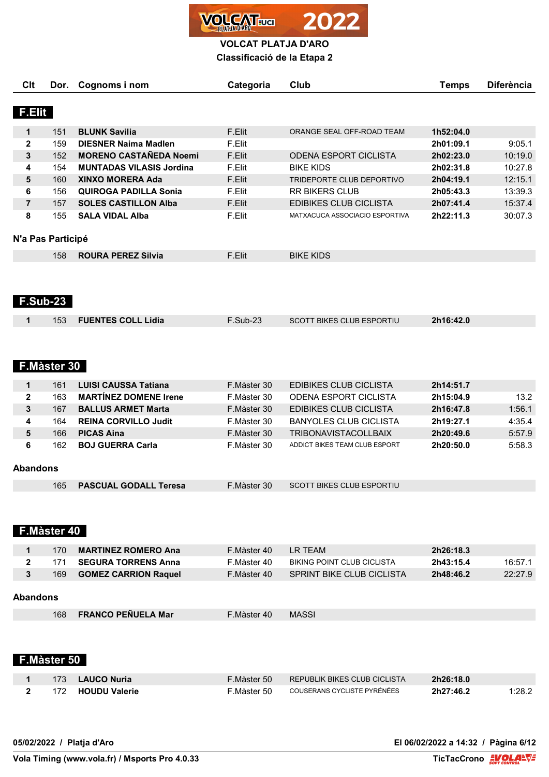

**Classificació de la Etapa 2**

| Clt           | Dor.              | Cognoms i nom                   | Categoria | Club                           | Temps     | <b>Diferència</b> |
|---------------|-------------------|---------------------------------|-----------|--------------------------------|-----------|-------------------|
|               |                   |                                 |           |                                |           |                   |
| <b>F.Elit</b> |                   |                                 |           |                                |           |                   |
| 1             | 151               | <b>BLUNK Savilia</b>            | F.Elit    | ORANGE SEAL OFF-ROAD TEAM      | 1h52:04.0 |                   |
| $\mathbf{2}$  | 159               | <b>DIESNER Naima Madlen</b>     | F.Elit    |                                | 2h01:09.1 | 9:05.1            |
| 3             | 152               | <b>MORENO CASTAÑEDA Noemi</b>   | F.Elit    | <b>ODENA ESPORT CICLISTA</b>   | 2h02:23.0 | 10:19.0           |
| 4             | 154               | <b>MUNTADAS VILASIS Jordina</b> | F.Elit    | <b>BIKE KIDS</b>               | 2h02:31.8 | 10:27.8           |
| 5             | 160               | <b>XINXO MORERA Ada</b>         | F.Elit    | TRIDEPORTE CLUB DEPORTIVO      | 2h04:19.1 | 12:15.1           |
| 6             | 156               | <b>QUIROGA PADILLA Sonia</b>    | F.Elit    | <b>RR BIKERS CLUB</b>          | 2h05:43.3 | 13:39.3           |
| 7             | 157               | <b>SOLES CASTILLON Alba</b>     | F.Elit    | EDIBIKES CLUB CICLISTA         | 2h07:41.4 | 15:37.4           |
| 8             | 155               | <b>SALA VIDAL Alba</b>          | F.Elit    | MATXACUCA ASSOCIACIO ESPORTIVA | 2h22:11.3 | 30:07.3           |
|               |                   |                                 |           |                                |           |                   |
|               | N'a Pas Participé |                                 |           |                                |           |                   |
|               | 158               | <b>ROURA PEREZ Silvia</b>       | F.Elit    | <b>BIKE KIDS</b>               |           |                   |
|               |                   |                                 |           |                                |           |                   |

# **F.Sub-23**

|  | 153 <b>FUENTES COLL Lidia</b> | $F.Sub-23$ | <b>SCOTT BIKES CLUB ESPORTIU</b> | 2h16:42.0 |  |
|--|-------------------------------|------------|----------------------------------|-----------|--|
|  |                               |            |                                  |           |  |

# **F.Màster 30**

|                 | 161 | <b>LUISI CAUSSA Tatiana</b>  | F.Màster 30 | EDIBIKES CLUB CICLISTA        | 2h14:51.7 |        |
|-----------------|-----|------------------------------|-------------|-------------------------------|-----------|--------|
| 2               | 163 | <b>MARTINEZ DOMENE Irene</b> | F.Màster 30 | ODENA ESPORT CICLISTA         | 2h15:04.9 | 13.2   |
| 3               | 167 | <b>BALLUS ARMET Marta</b>    | F.Màster 30 | EDIBIKES CLUB CICLISTA        | 2h16:47.8 | 1:56.1 |
| 4               | 164 | <b>REINA CORVILLO Judit</b>  | F.Màster 30 | BANYOLES CLUB CICLISTA        | 2h19:27.1 | 4:35.4 |
| 5               | 166 | <b>PICAS Aina</b>            | F.Màster 30 | <b>TRIBONAVISTACOLLBAIX</b>   | 2h20:49.6 | 5:57.9 |
| 6               | 162 | <b>BOJ GUERRA Carla</b>      | F.Màster 30 | ADDICT BIKES TEAM CLUB ESPORT | 2h20:50.0 | 5:58.3 |
|                 |     |                              |             |                               |           |        |
| <b>Abandons</b> |     |                              |             |                               |           |        |

|  | 165 PASCUAL GODALL Teresa | F.Màster 30 | SCOTT BIKES CLUB ESPORTIU |
|--|---------------------------|-------------|---------------------------|
|--|---------------------------|-------------|---------------------------|

## **F.Màster 40**

|          | 170 | <b>MARTINEZ ROMERO Ana</b>  | F.Màster 40 | I R TFAM                         | 2h26:18.3 |         |
|----------|-----|-----------------------------|-------------|----------------------------------|-----------|---------|
|          | 171 | <b>SEGURA TORRENS Anna</b>  | F.Màster 40 | BIKING POINT CLUB CICLISTA       | 2h43:15.4 | 16:57.1 |
|          | 169 | <b>GOMEZ CARRION Raquel</b> | F.Màster 40 | <b>SPRINT BIKE CLUB CICLISTA</b> | 2h48:46.2 | 22:27.9 |
| Abandons |     |                             |             |                                  |           |         |
|          | 168 | <b>FRANCO PEÑUELA Mar</b>   | F.Màster 40 | <b>MASSI</b>                     |           |         |
|          |     |                             |             |                                  |           |         |

# **F.Màster 50**

|  | 173 LAUCO Nuria     | F.Màster 50 | REPUBLIK BIKES CLUB CICLISTA | 2h26:18.0 |        |
|--|---------------------|-------------|------------------------------|-----------|--------|
|  | 2 172 HOUDU Valerie | F.Màster 50 | COUSERANS CYCLISTE PYRÉNÉES  | 2h27:46.2 | 1:28.2 |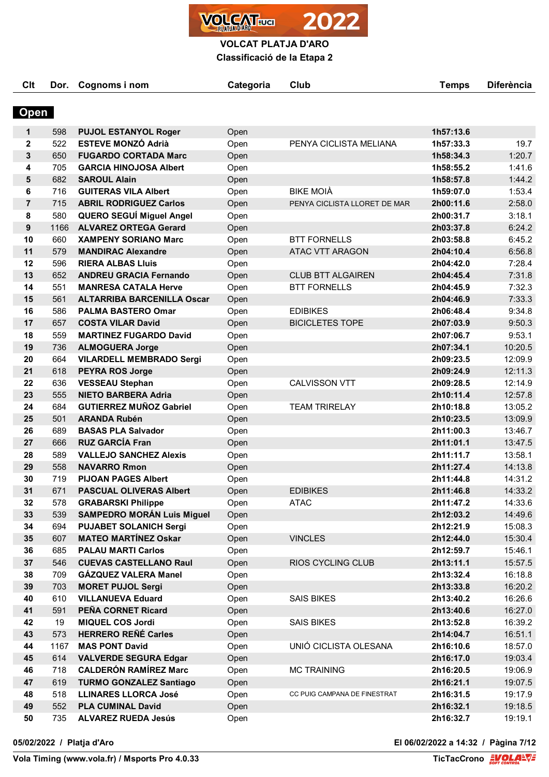**VOLCAT** ua

**VOLCAT PLATJA D'ARO**

**Classificació de la Etapa 2**

| Clt            | Dor. | Cognoms i nom                     | Categoria | Club                         | <b>Temps</b> | <b>Diferència</b> |
|----------------|------|-----------------------------------|-----------|------------------------------|--------------|-------------------|
| <b>Open</b>    |      |                                   |           |                              |              |                   |
| 1              | 598  | <b>PUJOL ESTANYOL Roger</b>       | Open      |                              | 1h57:13.6    |                   |
| $\mathbf{2}$   | 522  | <b>ESTEVE MONZÓ Adrià</b>         | Open      | PENYA CICLISTA MELIANA       | 1h57:33.3    | 19.7              |
| 3              | 650  | <b>FUGARDO CORTADA Marc</b>       | Open      |                              | 1h58:34.3    | 1:20.7            |
| 4              | 705  | <b>GARCIA HINOJOSA Albert</b>     | Open      |                              | 1h58:55.2    | 1:41.6            |
| 5              | 682  | <b>SAROUL Alain</b>               | Open      |                              | 1h58:57.8    | 1:44.2            |
| 6              | 716  | <b>GUITERAS VILA Albert</b>       | Open      | <b>BIKE MOIÀ</b>             | 1h59:07.0    | 1:53.4            |
| $\overline{7}$ | 715  | <b>ABRIL RODRIGUEZ Carlos</b>     | Open      | PENYA CICLISTA LLORET DE MAR | 2h00:11.6    | 2:58.0            |
| 8              | 580  | <b>QUERO SEGUÍ Miguel Angel</b>   | Open      |                              | 2h00:31.7    | 3:18.1            |
| 9              | 1166 | <b>ALVAREZ ORTEGA Gerard</b>      | Open      |                              | 2h03:37.8    | 6:24.2            |
| 10             | 660  | <b>XAMPENY SORIANO Marc</b>       | Open      | <b>BTT FORNELLS</b>          | 2h03:58.8    | 6:45.2            |
| 11             | 579  | <b>MANDIRAC Alexandre</b>         | Open      | <b>ATAC VTT ARAGON</b>       | 2h04:10.4    | 6:56.8            |
| 12             | 596  | <b>RIERA ALBAS LIUIS</b>          | Open      |                              | 2h04:42.0    | 7:28.4            |
| 13             | 652  | <b>ANDREU GRACIA Fernando</b>     | Open      | <b>CLUB BTT ALGAIREN</b>     | 2h04:45.4    | 7:31.8            |
| 14             | 551  | <b>MANRESA CATALA Herve</b>       | Open      | <b>BTT FORNELLS</b>          | 2h04:45.9    | 7:32.3            |
| 15             | 561  | <b>ALTARRIBA BARCENILLA Oscar</b> | Open      |                              | 2h04:46.9    | 7:33.3            |
| 16             | 586  | <b>PALMA BASTERO Omar</b>         | Open      | <b>EDIBIKES</b>              | 2h06:48.4    | 9:34.8            |
| 17             | 657  | <b>COSTA VILAR David</b>          | Open      | <b>BICICLETES TOPE</b>       | 2h07:03.9    | 9:50.3            |
| 18             | 559  | <b>MARTINEZ FUGARDO David</b>     | Open      |                              | 2h07:06.7    | 9:53.1            |
| 19             | 736  | <b>ALMOGUERA Jorge</b>            | Open      |                              | 2h07:34.1    | 10:20.5           |
| 20             | 664  | <b>VILARDELL MEMBRADO Sergi</b>   | Open      |                              | 2h09:23.5    | 12:09.9           |
| 21             | 618  | <b>PEYRA ROS Jorge</b>            | Open      |                              | 2h09:24.9    | 12:11.3           |
| 22             | 636  | <b>VESSEAU Stephan</b>            | Open      | <b>CALVISSON VTT</b>         | 2h09:28.5    | 12:14.9           |
| 23             | 555  | <b>NIETO BARBERA Adria</b>        | Open      |                              | 2h10:11.4    | 12:57.8           |
| 24             | 684  | <b>GUTIERREZ MUÑOZ Gabriel</b>    | Open      | <b>TEAM TRIRELAY</b>         | 2h10:18.8    | 13:05.2           |
| 25             | 501  | <b>ARANDA Rubén</b>               | Open      |                              | 2h10:23.5    | 13:09.9           |
| 26             | 689  | <b>BASAS PLA Salvador</b>         | Open      |                              | 2h11:00.3    | 13:46.7           |
| 27             | 666  | <b>RUZ GARCÍA Fran</b>            | Open      |                              | 2h11:01.1    | 13:47.5           |
| 28             | 589  | <b>VALLEJO SANCHEZ Alexis</b>     | Open      |                              | 2h11:11.7    | 13:58.1           |
| 29             | 558  | <b>NAVARRO Rmon</b>               | Open      |                              | 2h11:27.4    | 14:13.8           |
| 30             | 719  | <b>PIJOAN PAGES Albert</b>        | Open      |                              | 2h11:44.8    | 14:31.2           |
| 31             | 671  | <b>PASCUAL OLIVERAS Albert</b>    | Open      | <b>EDIBIKES</b>              | 2h11:46.8    | 14:33.2           |
| 32             | 578  | <b>GRABARSKI Philippe</b>         | Open      | <b>ATAC</b>                  | 2h11:47.2    | 14:33.6           |
| 33             | 539  | <b>SAMPEDRO MORÁN Luis Miguel</b> | Open      |                              | 2h12:03.2    | 14:49.6           |
| 34             | 694  | <b>PUJABET SOLANICH Sergi</b>     | Open      |                              | 2h12:21.9    | 15:08.3           |
| 35             | 607  | <b>MATEO MARTÍNEZ Oskar</b>       | Open      | <b>VINCLES</b>               | 2h12:44.0    | 15:30.4           |
| 36             | 685  | <b>PALAU MARTI Carlos</b>         | Open      |                              | 2h12:59.7    | 15:46.1           |
| 37             | 546  | <b>CUEVAS CASTELLANO Raul</b>     | Open      | <b>RIOS CYCLING CLUB</b>     | 2h13:11.1    | 15:57.5           |
| 38             | 709  | GÁZQUEZ VALERA Manel              | Open      |                              | 2h13:32.4    | 16:18.8           |
| 39             | 703  | <b>MORET PUJOL Sergi</b>          | Open      |                              | 2h13:33.8    | 16:20.2           |
| 40             | 610  | <b>VILLANUEVA Eduard</b>          | Open      | <b>SAIS BIKES</b>            | 2h13:40.2    | 16:26.6           |
| 41             | 591  | PEÑA CORNET Ricard                | Open      |                              | 2h13:40.6    | 16:27.0           |
| 42             | 19   | <b>MIQUEL COS Jordi</b>           | Open      | <b>SAIS BIKES</b>            | 2h13:52.8    | 16:39.2           |
| 43             | 573  | <b>HERRERO REÑÉ Carles</b>        | Open      |                              | 2h14:04.7    | 16:51.1           |
| 44             | 1167 | <b>MAS PONT David</b>             | Open      | UNIÓ CICLISTA OLESANA        | 2h16:10.6    | 18:57.0           |
| 45             | 614  | <b>VALVERDE SEGURA Edgar</b>      | Open      |                              | 2h16:17.0    | 19:03.4           |
| 46             | 718  | <b>CALDERÓN RAMÍREZ Marc</b>      | Open      | <b>MC TRAINING</b>           | 2h16:20.5    | 19:06.9           |
| 47             | 619  | <b>TURMO GONZALEZ Santiago</b>    | Open      |                              | 2h16:21.1    | 19:07.5           |
| 48             | 518  | <b>LLINARES LLORCA José</b>       | Open      | CC PUIG CAMPANA DE FINESTRAT | 2h16:31.5    | 19:17.9           |
| 49             | 552  | <b>PLA CUMINAL David</b>          | Open      |                              | 2h16:32.1    | 19:18.5           |
| 50             | 735  | <b>ALVAREZ RUEDA Jesús</b>        | Open      |                              | 2h16:32.7    | 19:19.1           |

**05/02/2022 / Platja d'Aro El 06/02/2022 a 14:32 / Pàgina 7/12**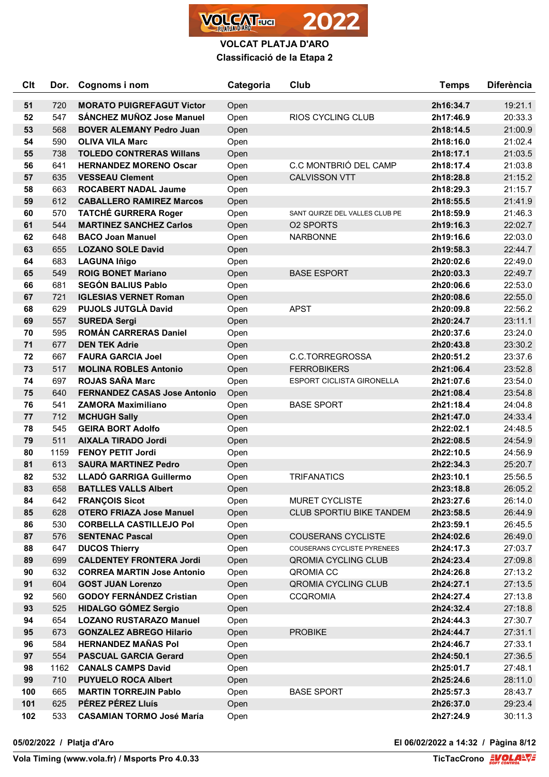

| <b>Clt</b> | Dor. | Cognoms i nom                       | Categoria | Club                             | <b>Temps</b> | <b>Diferència</b> |
|------------|------|-------------------------------------|-----------|----------------------------------|--------------|-------------------|
| 51         | 720  | <b>MORATO PUIGREFAGUT Victor</b>    | Open      |                                  | 2h16:34.7    | 19:21.1           |
| 52         | 547  | SÁNCHEZ MUÑOZ Jose Manuel           | Open      | <b>RIOS CYCLING CLUB</b>         | 2h17:46.9    | 20:33.3           |
| 53         | 568  | <b>BOVER ALEMANY Pedro Juan</b>     | Open      |                                  | 2h18:14.5    | 21:00.9           |
| 54         | 590  | <b>OLIVA VILA Marc</b>              | Open      |                                  | 2h18:16.0    | 21:02.4           |
| 55         | 738  | <b>TOLEDO CONTRERAS Willans</b>     | Open      |                                  | 2h18:17.1    | 21:03.5           |
| 56         | 641  | <b>HERNANDEZ MORENO Oscar</b>       | Open      | C.C MONTBRIÓ DEL CAMP            | 2h18:17.4    | 21:03.8           |
| 57         | 635  | <b>VESSEAU Clement</b>              | Open      | <b>CALVISSON VTT</b>             | 2h18:28.8    | 21:15.2           |
| 58         | 663  | <b>ROCABERT NADAL Jaume</b>         | Open      |                                  | 2h18:29.3    | 21:15.7           |
| 59         | 612  | <b>CABALLERO RAMIREZ Marcos</b>     | Open      |                                  | 2h18:55.5    | 21:41.9           |
| 60         | 570  | <b>TATCHÉ GURRERA Roger</b>         | Open      | SANT QUIRZE DEL VALLES CLUB PE   | 2h18:59.9    | 21:46.3           |
| 61         | 544  | <b>MARTINEZ SANCHEZ Carlos</b>      | Open      | <b>02 SPORTS</b>                 | 2h19:16.3    | 22:02.7           |
| 62         | 648  | <b>BACO Joan Manuel</b>             | Open      | <b>NARBONNE</b>                  | 2h19:16.6    | 22:03.0           |
| 63         | 655  | <b>LOZANO SOLE David</b>            | Open      |                                  | 2h19:58.3    | 22:44.7           |
| 64         | 683  | <b>LAGUNA Iñigo</b>                 | Open      |                                  | 2h20:02.6    | 22:49.0           |
| 65         | 549  | <b>ROIG BONET Mariano</b>           | Open      | <b>BASE ESPORT</b>               | 2h20:03.3    | 22:49.7           |
| 66         | 681  | <b>SEGÓN BALIUS Pablo</b>           | Open      |                                  | 2h20:06.6    | 22:53.0           |
| 67         | 721  | <b>IGLESIAS VERNET Roman</b>        | Open      |                                  | 2h20:08.6    | 22:55.0           |
| 68         | 629  | <b>PUJOLS JUTGLÀ David</b>          | Open      | <b>APST</b>                      | 2h20:09.8    | 22:56.2           |
| 69         | 557  | <b>SUREDA Sergi</b>                 | Open      |                                  | 2h20:24.7    | 23:11.1           |
| 70         | 595  | <b>ROMÁN CARRERAS Daniel</b>        | Open      |                                  | 2h20:37.6    | 23:24.0           |
| 71         | 677  | <b>DEN TEK Adrie</b>                | Open      |                                  | 2h20:43.8    | 23:30.2           |
| 72         | 667  | <b>FAURA GARCIA Joel</b>            | Open      | C.C.TORREGROSSA                  | 2h20:51.2    | 23:37.6           |
| 73         | 517  | <b>MOLINA ROBLES Antonio</b>        | Open      | <b>FERROBIKERS</b>               | 2h21:06.4    | 23:52.8           |
| 74         | 697  | <b>ROJAS SAÑA Marc</b>              | Open      | <b>ESPORT CICLISTA GIRONELLA</b> | 2h21:07.6    | 23:54.0           |
| 75         | 640  | <b>FERNANDEZ CASAS Jose Antonio</b> | Open      |                                  | 2h21:08.4    | 23:54.8           |
| 76         | 541  | <b>ZAMORA Maximiliano</b>           | Open      | <b>BASE SPORT</b>                | 2h21:18.4    | 24:04.8           |
| 77         | 712  | <b>MCHUGH Sally</b>                 | Open      |                                  | 2h21:47.0    | 24:33.4           |
| 78         | 545  | <b>GEIRA BORT Adolfo</b>            | Open      |                                  | 2h22:02.1    | 24:48.5           |
| 79         | 511  | <b>AIXALA TIRADO Jordi</b>          | Open      |                                  | 2h22:08.5    | 24:54.9           |
| 80         | 1159 | <b>FENOY PETIT Jordi</b>            | Open      |                                  | 2h22:10.5    | 24:56.9           |
| 81         | 613  | <b>SAURA MARTINEZ Pedro</b>         | Open      |                                  | 2h22:34.3    | 25:20.7           |

 525 **HIDALGO GÓMEZ Sergio** Open **2h24:32.4** 27:18.8 654 **LOZANO RUSTARAZO Manuel** Open **2h24:44.3** 27:30.7 673 **GONZALEZ ABREGO Hilario** Open PROBIKE **2h24:44.7** 27:31.1 584 **HERNANDEZ MAÑAS Pol** Open **2h24:46.7** 27:33.1 554 **PASCUAL GARCIA Gerard** Open **2h24:50.1** 27:36.5 1162 **CANALS CAMPS David** Open **2h25:01.7** 27:48.1 710 **PUYUELO ROCA Albert** Open **2h25:24.6** 28:11.0 665 **MARTIN TORREJIN Pablo** Open BASE SPORT **2h25:57.3** 28:43.7 625 **PÉREZ PÉREZ Lluís** Open **2h26:37.0** 29:23.4

533 **CASAMIAN TORMO José María** Open **2h27:24.9** 30:11.3

 532 **LLADÓ GARRIGA Guillermo** Open TRIFANATICS **2h23:10.1** 25:56.5 658 **BATLLES VALLS Albert** Open **2h23:18.8** 26:05.2 642 **FRANÇOIS Sicot** Open MURET CYCLISTE **2h23:27.6** 26:14.0 628 **OTERO FRIAZA Jose Manuel** Open CLUB SPORTIU BIKE TANDEM **2h23:58.5** 26:44.9 530 **CORBELLA CASTILLEJO Pol** Open **2h23:59.1** 26:45.5 576 **SENTENAC Pascal** Open COUSERANS CYCLISTE **2h24:02.6** 26:49.0 647 **DUCOS Thierry** Open COUSERANS CYCLISTE PYRENEES **2h24:17.3** 27:03.7 699 **CALDENTEY FRONTERA Jordi** Open QROMIA CYCLING CLUB **2h24:23.4** 27:09.8 632 **CORREA MARTIN Jose Antonio** Open QROMIA CC **2h24:26.8** 27:13.2 604 **GOST JUAN Lorenzo** Open QROMIA CYCLING CLUB **2h24:27.1** 27:13.5 560 **GODOY FERNÁNDEZ Cristian** Open CCQROMIA **2h24:27.4** 27:13.8

**05/02/2022 / Platja d'Aro El 06/02/2022 a 14:32 / Pàgina 8/12**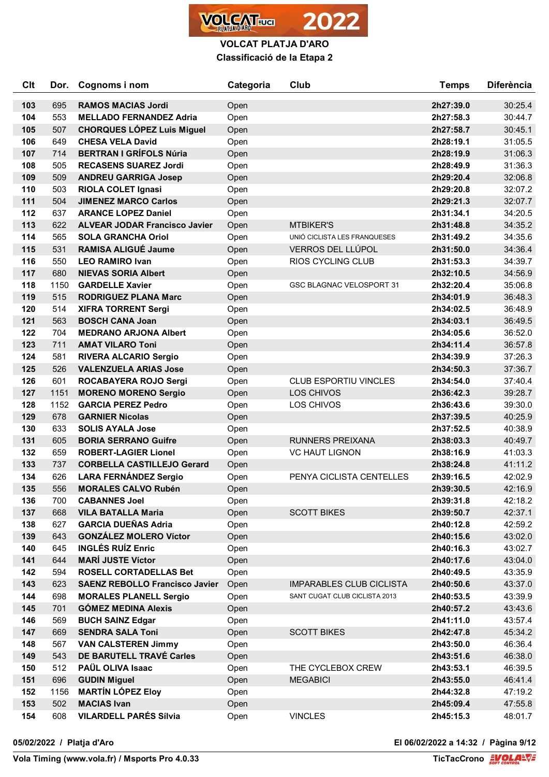

| <b>Clt</b> | Dor. | Cognoms i nom                         | Categoria | Club                            | <b>Temps</b> | <b>Diferència</b> |
|------------|------|---------------------------------------|-----------|---------------------------------|--------------|-------------------|
| 103        | 695  | <b>RAMOS MACIAS Jordi</b>             | Open      |                                 | 2h27:39.0    | 30:25.4           |
| 104        | 553  | <b>MELLADO FERNANDEZ Adria</b>        | Open      |                                 | 2h27:58.3    | 30:44.7           |
| 105        | 507  | <b>CHORQUES LÓPEZ Luis Miguel</b>     | Open      |                                 | 2h27:58.7    | 30:45.1           |
| 106        | 649  | <b>CHESA VELA David</b>               | Open      |                                 | 2h28:19.1    | 31:05.5           |
| 107        | 714  | <b>BERTRAN I GRÍFOLS Núria</b>        | Open      |                                 | 2h28:19.9    | 31:06.3           |
| 108        | 505  | <b>RECASENS SUAREZ Jordi</b>          | Open      |                                 | 2h28:49.9    | 31:36.3           |
| 109        | 509  | <b>ANDREU GARRIGA Josep</b>           | Open      |                                 | 2h29:20.4    | 32:06.8           |
| 110        | 503  | <b>RIOLA COLET Ignasi</b>             | Open      |                                 | 2h29:20.8    | 32:07.2           |
| 111        | 504  | <b>JIMENEZ MARCO Carlos</b>           | Open      |                                 | 2h29:21.3    | 32:07.7           |
| 112        | 637  | <b>ARANCE LOPEZ Daniel</b>            | Open      |                                 | 2h31:34.1    | 34:20.5           |
| 113        | 622  | <b>ALVEAR JODAR Francisco Javier</b>  | Open      | <b>MTBIKER'S</b>                | 2h31:48.8    | 34:35.2           |
| 114        | 565  | <b>SOLA GRANCHA Oriol</b>             | Open      | UNIÓ CICLISTA LES FRANQUESES    | 2h31:49.2    | 34:35.6           |
| 115        | 531  | <b>RAMISA ALIGUÉ Jaume</b>            | Open      | VERROS DEL LLÚPOL               | 2h31:50.0    | 34:36.4           |
| 116        | 550  | <b>LEO RAMIRO Ivan</b>                | Open      | RIOS CYCLING CLUB               | 2h31:53.3    | 34:39.7           |
| 117        | 680  | <b>NIEVAS SORIA Albert</b>            | Open      |                                 | 2h32:10.5    | 34:56.9           |
| 118        | 1150 | <b>GARDELLE Xavier</b>                | Open      | <b>GSC BLAGNAC VELOSPORT 31</b> | 2h32:20.4    | 35:06.8           |
| 119        | 515  | <b>RODRIGUEZ PLANA Marc</b>           | Open      |                                 | 2h34:01.9    | 36:48.3           |
| 120        | 514  | <b>XIFRA TORRENT Sergi</b>            | Open      |                                 | 2h34:02.5    | 36:48.9           |
| 121        | 563  | <b>BOSCH CANA Joan</b>                | Open      |                                 | 2h34:03.1    | 36:49.5           |
| 122        | 704  | <b>MEDRANO ARJONA Albert</b>          | Open      |                                 | 2h34:05.6    | 36:52.0           |
| 123        | 711  | <b>AMAT VILARO Toni</b>               | Open      |                                 | 2h34:11.4    | 36:57.8           |
| 124        | 581  | <b>RIVERA ALCARIO Sergio</b>          | Open      |                                 | 2h34:39.9    | 37:26.3           |
| 125        | 526  | <b>VALENZUELA ARIAS Jose</b>          | Open      |                                 | 2h34:50.3    | 37:36.7           |
| 126        | 601  | ROCABAYERA ROJO Sergi                 | Open      | <b>CLUB ESPORTIU VINCLES</b>    | 2h34:54.0    | 37:40.4           |
| 127        | 1151 | <b>MORENO MORENO Sergio</b>           | Open      | LOS CHIVOS                      | 2h36:42.3    | 39:28.7           |
| 128        | 1152 | <b>GARCIA PEREZ Pedro</b>             | Open      | LOS CHIVOS                      | 2h36:43.6    | 39:30.0           |
| 129        | 678  | <b>GARNIER Nicolas</b>                | Open      |                                 | 2h37:39.5    | 40:25.9           |
| 130        | 633  | <b>SOLIS AYALA Jose</b>               | Open      |                                 | 2h37:52.5    | 40:38.9           |
| 131        | 605  | <b>BORIA SERRANO Guifre</b>           | Open      | <b>RUNNERS PREIXANA</b>         | 2h38:03.3    | 40:49.7           |
| 132        | 659  | <b>ROBERT-LAGIER Lionel</b>           | Open      | <b>VC HAUT LIGNON</b>           | 2h38:16.9    | 41:03.3           |
| 133        | 737  | <b>CORBELLA CASTILLEJO Gerard</b>     | Open      |                                 | 2h38:24.8    | 41:11.2           |
| 134        | 626  | <b>LARA FERNÁNDEZ Sergio</b>          | Open      | PENYA CICLISTA CENTELLES        | 2h39:16.5    | 42:02.9           |
| 135        | 556  | <b>MORALES CALVO Rubén</b>            | Open      |                                 | 2h39:30.5    | 42:16.9           |
| 136        | 700  | <b>CABANNES Joel</b>                  | Open      |                                 | 2h39:31.8    | 42:18.2           |
| 137        | 668  | <b>VILA BATALLA Maria</b>             | Open      | <b>SCOTT BIKES</b>              | 2h39:50.7    | 42:37.1           |
| 138        | 627  | <b>GARCIA DUEÑAS Adria</b>            | Open      |                                 | 2h40:12.8    | 42:59.2           |
| 139        | 643  | <b>GONZÁLEZ MOLERO Víctor</b>         | Open      |                                 | 2h40:15.6    | 43:02.0           |
| 140        | 645  | <b>INGLÉS RUÍZ Enric</b>              | Open      |                                 | 2h40:16.3    | 43:02.7           |
| 141        | 644  | <b>MARÍ JUSTE Víctor</b>              | Open      |                                 | 2h40:17.6    | 43:04.0           |
| 142        | 594  | <b>ROSELL CORTADELLAS Bet</b>         | Open      |                                 | 2h40:49.5    | 43:35.9           |
| 143        | 623  | <b>SAENZ REBOLLO Francisco Javier</b> | Open      | <b>IMPARABLES CLUB CICLISTA</b> | 2h40:50.6    | 43:37.0           |
| 144        | 698  | <b>MORALES PLANELL Sergio</b>         | Open      | SANT CUGAT CLUB CICLISTA 2013   | 2h40:53.5    | 43:39.9           |
| 145        | 701  | <b>GÓMEZ MEDINA Alexis</b>            | Open      |                                 | 2h40:57.2    | 43:43.6           |
| 146        | 569  | <b>BUCH SAINZ Edgar</b>               | Open      |                                 | 2h41:11.0    | 43:57.4           |
| 147        | 669  | <b>SENDRA SALA Toni</b>               | Open      | <b>SCOTT BIKES</b>              | 2h42:47.8    | 45:34.2           |
| 148        | 567  | <b>VAN CALSTEREN Jimmy</b>            | Open      |                                 | 2h43:50.0    | 46:36.4           |
| 149        | 543  | DE BARUTELL TRAVÉ Carles              | Open      |                                 | 2h43:51.6    | 46:38.0           |
| 150        | 512  | PAÜL OLIVA Isaac                      | Open      | THE CYCLEBOX CREW               | 2h43:53.1    | 46:39.5           |
| 151        | 696  | <b>GUDIN Miguel</b>                   | Open      | <b>MEGABICI</b>                 | 2h43:55.0    | 46:41.4           |
| 152        | 1156 | <b>MARTÍN LÓPEZ Eloy</b>              | Open      |                                 | 2h44:32.8    | 47:19.2           |
| 153        | 502  | <b>MACIAS Ivan</b>                    | Open      |                                 | 2h45:09.4    | 47:55.8           |
| 154        | 608  | <b>VILARDELL PARÉS Sílvia</b>         | Open      | <b>VINCLES</b>                  | 2h45:15.3    | 48:01.7           |

**05/02/2022 / Platja d'Aro El 06/02/2022 a 14:32 / Pàgina 9/12**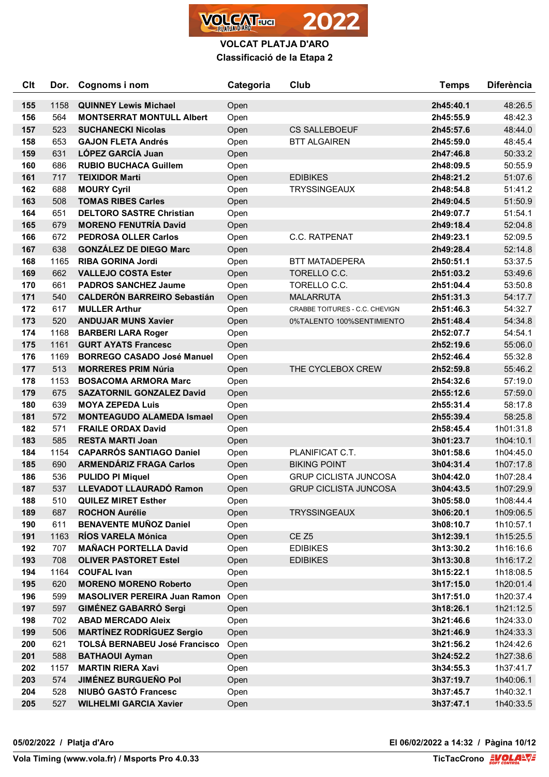

# **VOLCAT PLATJA D'ARO Classificació de la Etapa 2**

| Clt | Dor. | Cognoms i nom                        | Categoria                    | Club                           | <b>Temps</b> | <b>Diferència</b> |
|-----|------|--------------------------------------|------------------------------|--------------------------------|--------------|-------------------|
| 155 | 1158 | <b>QUINNEY Lewis Michael</b>         | Open                         |                                | 2h45:40.1    | 48:26.5           |
| 156 | 564  | <b>MONTSERRAT MONTULL Albert</b>     | Open                         |                                | 2h45:55.9    | 48:42.3           |
| 157 | 523  | <b>SUCHANECKI Nicolas</b>            | <b>CS SALLEBOEUF</b><br>Open |                                | 2h45:57.6    | 48:44.0           |
| 158 | 653  | <b>GAJON FLETA Andrés</b>            | Open                         | <b>BTT ALGAIREN</b>            | 2h45:59.0    | 48:45.4           |
| 159 | 631  | LÓPEZ GARCÍA Juan                    | Open                         |                                | 2h47:46.8    | 50:33.2           |
| 160 | 686  | <b>RUBIO BUCHACA Guillem</b>         | Open                         |                                | 2h48:09.5    | 50:55.9           |
| 161 | 717  | <b>TEIXIDOR Marti</b>                | Open                         | <b>EDIBIKES</b>                | 2h48:21.2    | 51:07.6           |
| 162 | 688  | <b>MOURY Cyril</b>                   | Open                         | <b>TRYSSINGEAUX</b>            | 2h48:54.8    | 51:41.2           |
| 163 | 508  | <b>TOMAS RIBES Carles</b>            | Open                         |                                | 2h49:04.5    | 51:50.9           |
| 164 | 651  | <b>DELTORO SASTRE Christian</b>      | Open                         |                                | 2h49:07.7    | 51:54.1           |
| 165 | 679  | <b>MORENO FENUTRÍA David</b>         | Open                         |                                | 2h49:18.4    | 52:04.8           |
| 166 | 672  | <b>PEDROSA OLLER Carlos</b>          | Open                         | C.C. RATPENAT                  | 2h49:23.1    | 52:09.5           |
| 167 | 638  | <b>GONZÁLEZ DE DIEGO Marc</b>        | Open                         |                                | 2h49:28.4    | 52:14.8           |
| 168 | 1165 | <b>RIBA GORINA Jordi</b>             | Open                         | <b>BTT MATADEPERA</b>          | 2h50:51.1    | 53:37.5           |
| 169 | 662  | <b>VALLEJO COSTA Ester</b>           | Open                         | TORELLO C.C.                   | 2h51:03.2    | 53:49.6           |
| 170 | 661  | <b>PADROS SANCHEZ Jaume</b>          | Open                         | TORELLO C.C.                   | 2h51:04.4    | 53:50.8           |
| 171 | 540  | <b>CALDERÓN BARREIRO Sebastián</b>   | Open                         | <b>MALARRUTA</b>               | 2h51:31.3    | 54:17.7           |
| 172 | 617  | <b>MULLER Arthur</b>                 | Open                         | CRABBE TOITURES - C.C. CHEVIGN | 2h51:46.3    | 54:32.7           |
| 173 | 520  | <b>ANDUJAR MUNS Xavier</b>           | Open                         | 0%TALENTO 100%SENTIMIENTO      | 2h51:48.4    | 54:34.8           |
| 174 | 1168 | <b>BARBERI LARA Roger</b>            | Open                         |                                | 2h52:07.7    | 54:54.1           |
| 175 | 1161 | <b>GURT AYATS Francesc</b>           | Open                         |                                | 2h52:19.6    | 55:06.0           |
| 176 | 1169 | <b>BORREGO CASADO José Manuel</b>    | Open                         |                                | 2h52:46.4    | 55:32.8           |
| 177 | 513  | <b>MORRERES PRIM Núria</b>           | Open                         | THE CYCLEBOX CREW              | 2h52:59.8    | 55:46.2           |
| 178 | 1153 | <b>BOSACOMA ARMORA Marc</b>          | Open                         |                                | 2h54:32.6    | 57:19.0           |
| 179 | 675  | <b>SAZATORNIL GONZALEZ David</b>     | Open                         |                                | 2h55:12.6    | 57:59.0           |
| 180 | 639  | <b>MOYA ZEPEDA Luis</b>              | Open                         |                                | 2h55:31.4    | 58:17.8           |
| 181 | 572  | <b>MONTEAGUDO ALAMEDA Ismael</b>     | Open                         |                                | 2h55:39.4    | 58:25.8           |
| 182 | 571  | <b>FRAILE ORDAX David</b>            | Open                         |                                | 2h58:45.4    | 1h01:31.8         |
| 183 | 585  | <b>RESTA MARTI Joan</b>              | Open                         |                                | 3h01:23.7    | 1h04:10.1         |
| 184 | 1154 | <b>CAPARRÓS SANTIAGO Daniel</b>      | Open                         | PLANIFICAT C.T.                | 3h01:58.6    | 1h04:45.0         |
| 185 | 690  | <b>ARMENDÁRIZ FRAGA Carlos</b>       | Open                         | <b>BIKING POINT</b>            | 3h04:31.4    | 1h07:17.8         |
| 186 | 536  | <b>PULIDO PI Miquel</b>              | Open                         | <b>GRUP CICLISTA JUNCOSA</b>   | 3h04:42.0    | 1h07:28.4         |
| 187 | 537  | LLEVADOT LLAURADÓ Ramon              | Open                         | <b>GRUP CICLISTA JUNCOSA</b>   | 3h04:43.5    | 1h07:29.9         |
| 188 | 510  | <b>QUILEZ MIRET Esther</b>           | Open                         |                                | 3h05:58.0    | 1h08:44.4         |
| 189 | 687  | <b>ROCHON Aurélie</b>                | Open                         | <b>TRYSSINGEAUX</b>            | 3h06:20.1    | 1h09:06.5         |
| 190 | 611  | <b>BENAVENTE MUÑOZ Daniel</b>        | Open                         |                                | 3h08:10.7    | 1h10:57.1         |
| 191 | 1163 | RÍOS VARELA Mónica                   | Open                         | CE <sub>Z5</sub>               | 3h12:39.1    | 1h15:25.5         |
| 192 | 707  | <b>MAÑACH PORTELLA David</b>         | Open                         | <b>EDIBIKES</b>                | 3h13:30.2    | 1h16:16.6         |
| 193 | 708  | <b>OLIVER PASTORET Estel</b>         | Open                         | <b>EDIBIKES</b>                | 3h13:30.8    | 1h16:17.2         |
| 194 | 1164 | <b>COUFAL Ivan</b>                   | Open                         |                                | 3h15:22.1    | 1h18:08.5         |
| 195 | 620  | <b>MORENO MORENO Roberto</b>         | Open                         |                                | 3h17:15.0    | 1h20:01.4         |
| 196 | 599  | <b>MASOLIVER PEREIRA Juan Ramon</b>  | Open                         |                                | 3h17:51.0    | 1h20:37.4         |
| 197 | 597  | <b>GIMÉNEZ GABARRÓ Sergi</b>         | Open                         |                                | 3h18:26.1    | 1h21:12.5         |
| 198 | 702  | <b>ABAD MERCADO Aleix</b>            | Open                         |                                | 3h21:46.6    | 1h24:33.0         |
| 199 | 506  | <b>MARTÍNEZ RODRÍGUEZ Sergio</b>     | Open                         |                                | 3h21:46.9    | 1h24:33.3         |
| 200 | 621  | <b>TOLSÁ BERNABEU José Francisco</b> | Open                         |                                | 3h21:56.2    | 1h24:42.6         |
| 201 | 588  | <b>BATHAOUI Ayman</b>                | Open                         |                                | 3h24:52.2    | 1h27:38.6         |
| 202 | 1157 | <b>MARTIN RIERA Xavi</b>             | Open                         |                                | 3h34:55.3    | 1h37:41.7         |
| 203 | 574  | <b>JIMÉNEZ BURGUEÑO Pol</b>          | Open                         |                                | 3h37:19.7    | 1h40:06.1         |
| 204 | 528  | NIUBÓ GASTÓ Francesc                 | Open                         |                                | 3h37:45.7    | 1h40:32.1         |
| 205 | 527  | <b>WILHELMI GARCIA Xavier</b>        | Open                         |                                | 3h37:47.1    | 1h40:33.5         |

**05/02/2022 / Platja d'Aro El 06/02/2022 a 14:32 / Pàgina 10/12**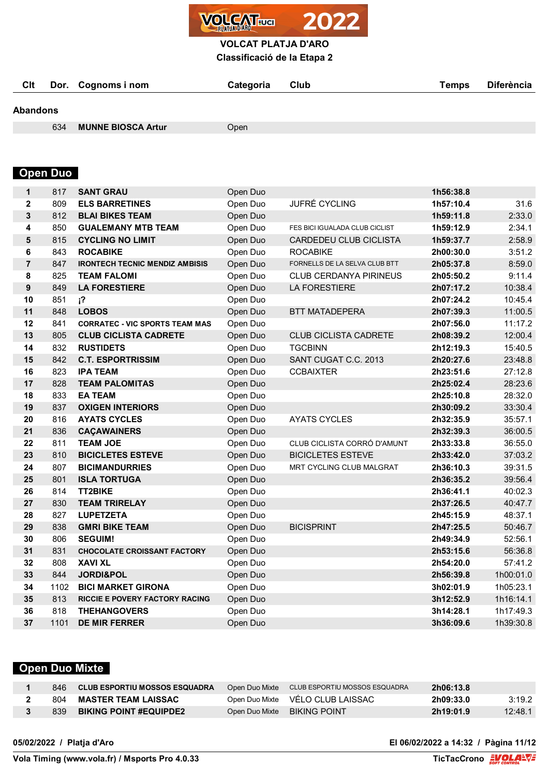

**Classificació de la Etapa 2**

|          | Cit Dor. Cognoms i nom | Categoria Club | <b>Temps</b> | <b>Diferència</b> |
|----------|------------------------|----------------|--------------|-------------------|
| Abandons |                        |                |              |                   |

**MUNNE BIOSCA Artur** Open

# **Open Duo**

| 817 | <b>SANT GRAU</b>                                                                                                      | Open Duo                                                                                                                                                                                                                  |                                                                                                                      | 1h56:38.8                                     |                                                                                                                                |
|-----|-----------------------------------------------------------------------------------------------------------------------|---------------------------------------------------------------------------------------------------------------------------------------------------------------------------------------------------------------------------|----------------------------------------------------------------------------------------------------------------------|-----------------------------------------------|--------------------------------------------------------------------------------------------------------------------------------|
| 809 | <b>ELS BARRETINES</b>                                                                                                 | JUFRÉ CYCLING<br>Open Duo                                                                                                                                                                                                 |                                                                                                                      | 1h57:10.4                                     | 31.6                                                                                                                           |
| 812 | <b>BLAI BIKES TEAM</b>                                                                                                | Open Duo                                                                                                                                                                                                                  |                                                                                                                      | 1h59:11.8                                     | 2:33.0                                                                                                                         |
| 850 | <b>GUALEMANY MTB TEAM</b>                                                                                             | Open Duo<br>FES BICI IGUALADA CLUB CICLIST                                                                                                                                                                                |                                                                                                                      | 1h59:12.9                                     | 2:34.1                                                                                                                         |
| 815 | <b>CYCLING NO LIMIT</b>                                                                                               | CARDEDEU CLUB CICLISTA<br>Open Duo                                                                                                                                                                                        |                                                                                                                      | 1h59:37.7                                     | 2:58.9                                                                                                                         |
| 843 | <b>ROCABIKE</b>                                                                                                       | Open Duo                                                                                                                                                                                                                  | <b>ROCABIKE</b>                                                                                                      | 2h00:30.0                                     | 3:51.2                                                                                                                         |
| 847 | <b>IRONTECH TECNIC MENDIZ AMBISIS</b>                                                                                 | Open Duo                                                                                                                                                                                                                  | FORNELLS DE LA SELVA CLUB BTT                                                                                        | 2h05:37.8                                     | 8:59.0                                                                                                                         |
| 825 | <b>TEAM FALOMI</b>                                                                                                    | Open Duo                                                                                                                                                                                                                  | <b>CLUB CERDANYA PIRINEUS</b>                                                                                        | 2h05:50.2                                     | 9:11.4                                                                                                                         |
| 849 | <b>LA FORESTIERE</b>                                                                                                  | Open Duo                                                                                                                                                                                                                  | <b>LA FORESTIERE</b>                                                                                                 | 2h07:17.2                                     | 10:38.4                                                                                                                        |
| 851 | i <sup>2</sup>                                                                                                        | Open Duo                                                                                                                                                                                                                  |                                                                                                                      | 2h07:24.2                                     | 10:45.4                                                                                                                        |
| 848 | <b>LOBOS</b>                                                                                                          | Open Duo                                                                                                                                                                                                                  | <b>BTT MATADEPERA</b>                                                                                                | 2h07:39.3                                     | 11:00.5                                                                                                                        |
| 841 | <b>CORRATEC - VIC SPORTS TEAM MAS</b>                                                                                 | Open Duo                                                                                                                                                                                                                  |                                                                                                                      | 2h07:56.0                                     | 11:17.2                                                                                                                        |
| 805 | <b>CLUB CICLISTA CADRETE</b>                                                                                          | Open Duo                                                                                                                                                                                                                  | <b>CLUB CICLISTA CADRETE</b>                                                                                         | 2h08:39.2                                     | 12:00.4                                                                                                                        |
| 832 | <b>RUSTIDETS</b>                                                                                                      | Open Duo                                                                                                                                                                                                                  | <b>TGCBINN</b>                                                                                                       | 2h12:19.3                                     | 15:40.5                                                                                                                        |
| 842 | <b>C.T. ESPORTRISSIM</b>                                                                                              | Open Duo                                                                                                                                                                                                                  | SANT CUGAT C.C. 2013                                                                                                 | 2h20:27.6                                     | 23:48.8                                                                                                                        |
| 823 | <b>IPA TEAM</b>                                                                                                       | Open Duo                                                                                                                                                                                                                  | <b>CCBAIXTER</b>                                                                                                     | 2h23:51.6                                     | 27:12.8                                                                                                                        |
|     | <b>TEAM PALOMITAS</b>                                                                                                 | Open Duo                                                                                                                                                                                                                  |                                                                                                                      | 2h25:02.4                                     | 28:23.6                                                                                                                        |
| 833 | <b>EA TEAM</b>                                                                                                        | Open Duo                                                                                                                                                                                                                  |                                                                                                                      | 2h25:10.8                                     | 28:32.0                                                                                                                        |
| 837 | <b>OXIGEN INTERIORS</b>                                                                                               | Open Duo                                                                                                                                                                                                                  |                                                                                                                      | 2h30:09.2                                     | 33:30.4                                                                                                                        |
| 816 | <b>AYATS CYCLES</b>                                                                                                   | Open Duo                                                                                                                                                                                                                  | <b>AYATS CYCLES</b>                                                                                                  | 2h32:35.9                                     | 35:57.1                                                                                                                        |
| 836 | <b>CAÇAWAINERS</b>                                                                                                    | Open Duo                                                                                                                                                                                                                  |                                                                                                                      | 2h32:39.3                                     | 36:00.5                                                                                                                        |
|     | <b>TEAM JOE</b>                                                                                                       | Open Duo                                                                                                                                                                                                                  | CLUB CICLISTA CORRÓ D'AMUNT                                                                                          | 2h33:33.8                                     | 36:55.0                                                                                                                        |
|     | <b>BICICLETES ESTEVE</b>                                                                                              | Open Duo                                                                                                                                                                                                                  |                                                                                                                      | 2h33:42.0                                     | 37:03.2                                                                                                                        |
|     |                                                                                                                       | Open Duo                                                                                                                                                                                                                  | MRT CYCLING CLUB MALGRAT                                                                                             |                                               | 39:31.5                                                                                                                        |
|     |                                                                                                                       |                                                                                                                                                                                                                           |                                                                                                                      |                                               | 39:56.4                                                                                                                        |
|     | <b>TT2BIKE</b>                                                                                                        | Open Duo                                                                                                                                                                                                                  |                                                                                                                      | 2h36:41.1                                     | 40:02.3                                                                                                                        |
|     | <b>TEAM TRIRELAY</b>                                                                                                  | Open Duo                                                                                                                                                                                                                  |                                                                                                                      |                                               | 40:47.7                                                                                                                        |
|     | <b>LUPETZETA</b>                                                                                                      |                                                                                                                                                                                                                           |                                                                                                                      | 2h45:15.9                                     | 48:37.1                                                                                                                        |
|     |                                                                                                                       |                                                                                                                                                                                                                           |                                                                                                                      |                                               | 50:46.7                                                                                                                        |
|     | <b>SEGUIM!</b>                                                                                                        |                                                                                                                                                                                                                           |                                                                                                                      | 2h49:34.9                                     | 52:56.1                                                                                                                        |
|     | <b>CHOCOLATE CROISSANT FACTORY</b>                                                                                    |                                                                                                                                                                                                                           |                                                                                                                      |                                               | 56:36.8                                                                                                                        |
|     |                                                                                                                       |                                                                                                                                                                                                                           |                                                                                                                      |                                               | 57:41.2                                                                                                                        |
|     |                                                                                                                       |                                                                                                                                                                                                                           |                                                                                                                      |                                               | 1h00:01.0                                                                                                                      |
|     |                                                                                                                       | Open Duo                                                                                                                                                                                                                  |                                                                                                                      | 3h02:01.9                                     | 1h05:23.1                                                                                                                      |
|     |                                                                                                                       |                                                                                                                                                                                                                           |                                                                                                                      |                                               | 1h16:14.1                                                                                                                      |
|     |                                                                                                                       |                                                                                                                                                                                                                           |                                                                                                                      |                                               | 1h17:49.3                                                                                                                      |
|     |                                                                                                                       |                                                                                                                                                                                                                           |                                                                                                                      |                                               | 1h39:30.8                                                                                                                      |
|     | 828<br>811<br>810<br>807<br>801<br>814<br>830<br>827<br>838<br>806<br>831<br>808<br>844<br>1102<br>813<br>818<br>1101 | <b>BICIMANDURRIES</b><br><b>ISLA TORTUGA</b><br><b>GMRI BIKE TEAM</b><br><b>XAVI XL</b><br>JORDI&POL<br><b>BICI MARKET GIRONA</b><br><b>RICCIE E POVERY FACTORY RACING</b><br><b>THEHANGOVERS</b><br><b>DE MIR FERRER</b> | Open Duo<br>Open Duo<br>Open Duo<br>Open Duo<br>Open Duo<br>Open Duo<br>Open Duo<br>Open Duo<br>Open Duo<br>Open Duo | <b>BICICLETES ESTEVE</b><br><b>BICISPRINT</b> | 2h36:10.3<br>2h36:35.2<br>2h37:26.5<br>2h47:25.5<br>2h53:15.6<br>2h54:20.0<br>2h56:39.8<br>3h12:52.9<br>3h14:28.1<br>3h36:09.6 |

# **Open Duo Mixte**

| 846. | <b>CLUB ESPORTIU MOSSOS ESQUADRA</b> | Open Duo Mixte | CLUB ESPORTIU MOSSOS ESQUADRA | 2h06:13.8 |         |
|------|--------------------------------------|----------------|-------------------------------|-----------|---------|
| 804  | <b>MASTER TEAM LAISSAC</b>           | Open Duo Mixte | VÉLO CLUB LAISSAC             | 2h09:33.0 | 3:19.2  |
| 839  | <b>BIKING POINT #EQUIPDE2</b>        | Open Duo Mixte | <b>BIKING POINT</b>           | 2h19:01.9 | 12:48.1 |